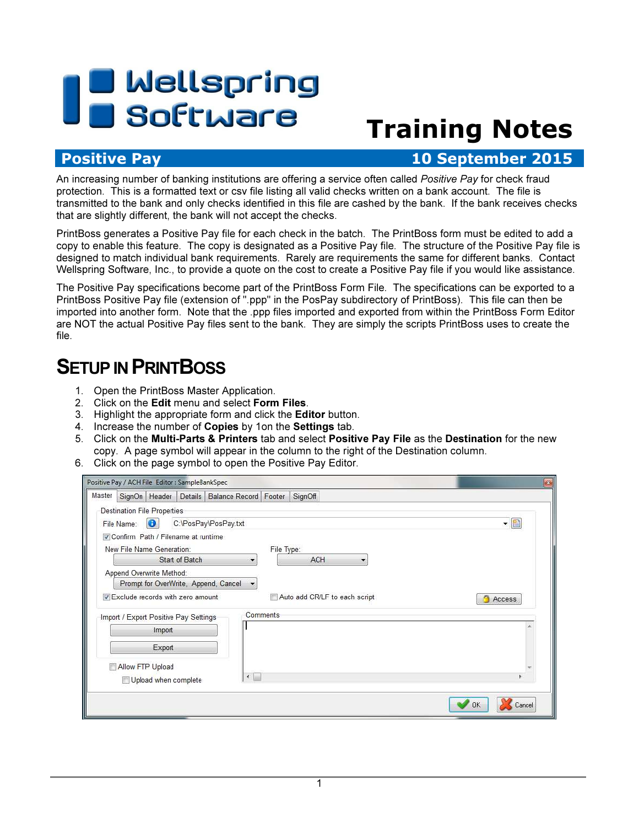# **B** Wellspring<br>B Software

# Training Notes

## Positive Pay **10 September 2015**

An increasing number of banking institutions are offering a service often called Positive Pay for check fraud protection. This is a formatted text or csv file listing all valid checks written on a bank account. The file is transmitted to the bank and only checks identified in this file are cashed by the bank. If the bank receives checks that are slightly different, the bank will not accept the checks.

PrintBoss generates a Positive Pay file for each check in the batch. The PrintBoss form must be edited to add a copy to enable this feature. The copy is designated as a Positive Pay file. The structure of the Positive Pay file is designed to match individual bank requirements. Rarely are requirements the same for different banks. Contact Wellspring Software, Inc., to provide a quote on the cost to create a Positive Pay file if you would like assistance.

The Positive Pay specifications become part of the PrintBoss Form File. The specifications can be exported to a PrintBoss Positive Pay file (extension of ".ppp" in the PosPay subdirectory of PrintBoss). This file can then be imported into another form. Note that the .ppp files imported and exported from within the PrintBoss Form Editor are NOT the actual Positive Pay files sent to the bank. They are simply the scripts PrintBoss uses to create the file.

# **SETUP IN PRINTBOSS**

- 1. Open the PrintBoss Master Application.
- 2. Click on the Edit menu and select Form Files.
- 3. Highlight the appropriate form and click the Editor button.
- 4. Increase the number of Copies by 1on the Settings tab.
- 5. Click on the Multi-Parts & Printers tab and select Positive Pay File as the Destination for the new copy. A page symbol will appear in the column to the right of the Destination column.
- 6. Click on the page symbol to open the Positive Pay Editor.

| Positive Pay / ACH File Editor : SampleBankSpec                  |          |                               | $\mathbf{z}$  |
|------------------------------------------------------------------|----------|-------------------------------|---------------|
| Master   SignOn   Header   Details   Balance Record   Footer     |          | SignOff                       |               |
| <b>Destination File Properties</b>                               |          |                               |               |
| Ð<br>C:\PosPay\PosPay.txt<br>File Name:                          |          |                               |               |
| Confirm Path / Filename at runtime                               |          |                               |               |
| New File Name Generation:                                        |          | File Type:                    |               |
| Start of Batch                                                   |          | <b>ACH</b>                    |               |
| Append Overwrite Method:<br>Prompt for OverWrite, Append, Cancel |          |                               |               |
| Exclude records with zero amount                                 |          | Auto add CR/LF to each script | <b>Access</b> |
| Import / Export Positive Pay Settings                            | Comments |                               |               |
| Import                                                           |          |                               |               |
| Export                                                           |          |                               |               |
| Allow FTP Upload                                                 |          |                               |               |
| $\left\vert 1\right\rangle$<br>Upload when complete              |          |                               |               |
|                                                                  |          | OK                            | Cancel        |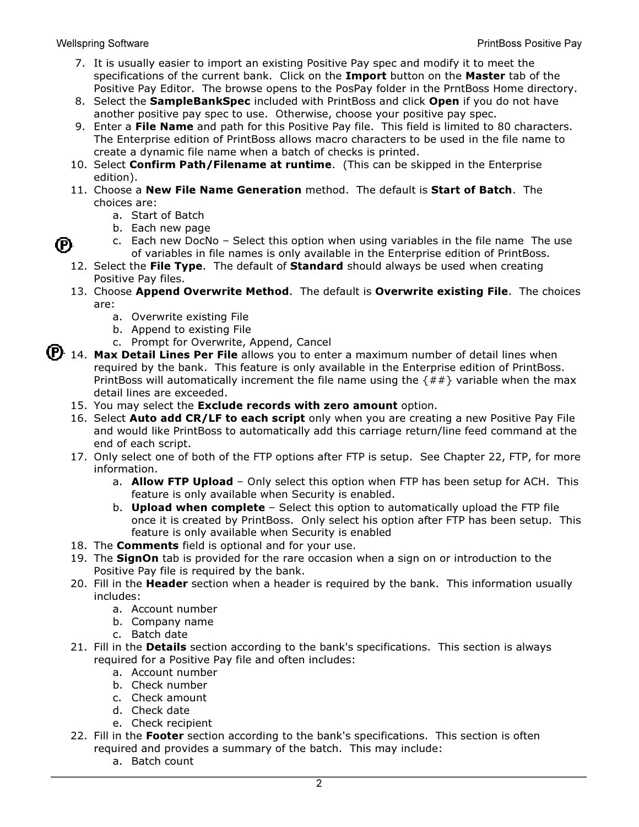(P)

- 7. It is usually easier to import an existing Positive Pay spec and modify it to meet the specifications of the current bank. Click on the Import button on the Master tab of the Positive Pay Editor. The browse opens to the PosPay folder in the PrntBoss Home directory.
- 8. Select the **SampleBankSpec** included with PrintBoss and click **Open** if you do not have another positive pay spec to use. Otherwise, choose your positive pay spec.
- 9. Enter a File Name and path for this Positive Pay file. This field is limited to 80 characters. The Enterprise edition of PrintBoss allows macro characters to be used in the file name to create a dynamic file name when a batch of checks is printed.
- 10. Select Confirm Path/Filename at runtime. (This can be skipped in the Enterprise edition).
- 11. Choose a New File Name Generation method. The default is Start of Batch. The choices are:
	- a. Start of Batch
	- b. Each new page
	- c. Each new DocNo Select this option when using variables in the file name The use of variables in file names is only available in the Enterprise edition of PrintBoss.
- 12. Select the File Type. The default of Standard should always be used when creating Positive Pay files.
- 13. Choose Append Overwrite Method. The default is Overwrite existing File. The choices are:
	- a. Overwrite existing File
	- b. Append to existing File
	- c. Prompt for Overwrite, Append, Cancel
- (P) 14. Max Detail Lines Per File allows you to enter a maximum number of detail lines when required by the bank. This feature is only available in the Enterprise edition of PrintBoss. PrintBoss will automatically increment the file name using the  $\{ \# \# \}$  variable when the max detail lines are exceeded.
	- 15. You may select the **Exclude records with zero amount** option.
	- 16. Select **Auto add CR/LF to each script** only when you are creating a new Positive Pay File and would like PrintBoss to automatically add this carriage return/line feed command at the end of each script.
	- 17. Only select one of both of the FTP options after FTP is setup. See Chapter 22, FTP, for more information.
		- a. **Allow FTP Upload** Only select this option when FTP has been setup for ACH. This feature is only available when Security is enabled.
		- b. **Upload when complete** Select this option to automatically upload the FTP file once it is created by PrintBoss. Only select his option after FTP has been setup. This feature is only available when Security is enabled
	- 18. The **Comments** field is optional and for your use.
	- 19. The SignOn tab is provided for the rare occasion when a sign on or introduction to the Positive Pay file is required by the bank.
	- 20. Fill in the Header section when a header is required by the bank. This information usually includes:
		- a. Account number
		- b. Company name
		- c. Batch date
	- 21. Fill in the **Details** section according to the bank's specifications. This section is always required for a Positive Pay file and often includes:
		- a. Account number
		- b. Check number
		- c. Check amount
		- d. Check date
		- e. Check recipient
	- 22. Fill in the Footer section according to the bank's specifications. This section is often required and provides a summary of the batch. This may include:
		- a. Batch count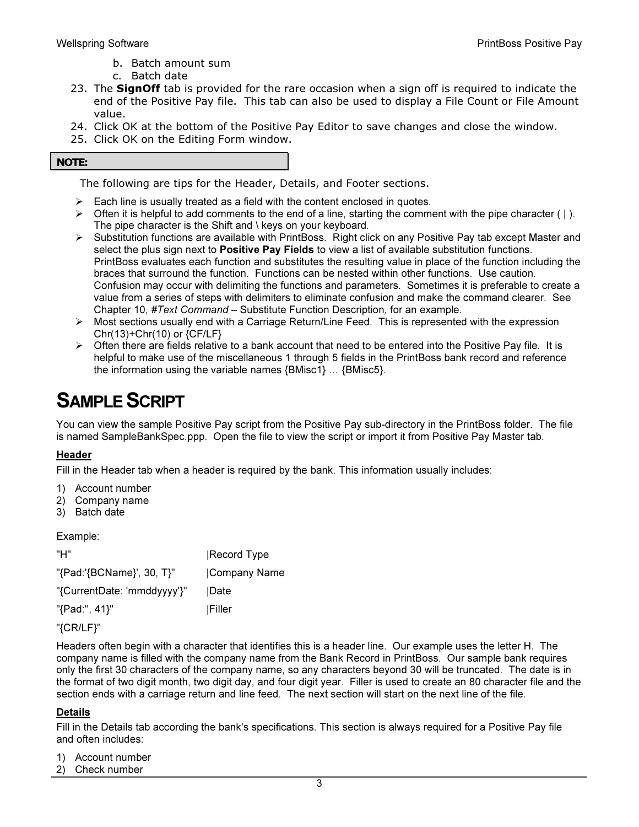- b. Batch amount sum
- c. Batch date
- 23. The **SignOff** tab is provided for the rare occasion when a sign off is required to indicate the end of the Positive Pay file. This tab can also be used to display a File Count or File Amount value.
- 24. Click OK at the bottom of the Positive Pay Editor to save changes and close the window.
- 25. Click OK on the Editing Form window.

#### NOTE:

The following are tips for the Header, Details, and Footer sections.

- Each line is usually treated as a field with the content enclosed in quotes.
- $\triangleright$  Often it is helpful to add comments to the end of a line, starting the comment with the pipe character (1). The pipe character is the Shift and \ keys on your keyboard.
- $\triangleright$  Substitution functions are available with PrintBoss. Right click on any Positive Pay tab except Master and select the plus sign next to **Positive Pay Fields** to view a list of available substitution functions. PrintBoss evaluates each function and substitutes the resulting value in place of the function including the braces that surround the function. Functions can be nested within other functions. Use caution. Confusion may occur with delimiting the functions and parameters. Sometimes it is preferable to create a value from a series of steps with delimiters to eliminate confusion and make the command clearer. See Chapter 10, #Text Command – Substitute Function Description, for an example.
- $\triangleright$  Most sections usually end with a Carriage Return/Line Feed. This is represented with the expression Chr(13)+Chr(10) or {CF/LF}
- $\triangleright$  Often there are fields relative to a bank account that need to be entered into the Positive Pay file. It is helpful to make use of the miscellaneous 1 through 5 fields in the PrintBoss bank record and reference the information using the variable names  $\{BMisc1\} \dots \{BMisc5\}.$

# SAMPLE SCRIPT

You can view the sample Positive Pay script from the Positive Pay sub-directory in the PrintBoss folder. The file is named SampleBankSpec.ppp. Open the file to view the script or import it from Positive Pay Master tab.

## Header

Fill in the Header tab when a header is required by the bank. This information usually includes:

- 1) Account number
- 2) Company name
- 3) Batch date

Example:

| "H"                         | Record Type   |
|-----------------------------|---------------|
| "{Pad:'{BCName}', 30, T}"   | Company Name  |
| "{CurrentDate: 'mmddyyyy'}" | Date          |
| "{Pad:", 41}"               | <b>Filler</b> |
|                             |               |

"{CR/LF}"

Headers often begin with a character that identifies this is a header line. Our example uses the letter H. The company name is filled with the company name from the Bank Record in PrintBoss. Our sample bank requires only the first 30 characters of the company name, so any characters beyond 30 will be truncated. The date is in the format of two digit month, two digit day, and four digit year. Filler is used to create an 80 character file and the section ends with a carriage return and line feed. The next section will start on the next line of the file.

## Details

Fill in the Details tab according the bank's specifications. This section is always required for a Positive Pay file and often includes:

- 1) Account number
- 2) Check number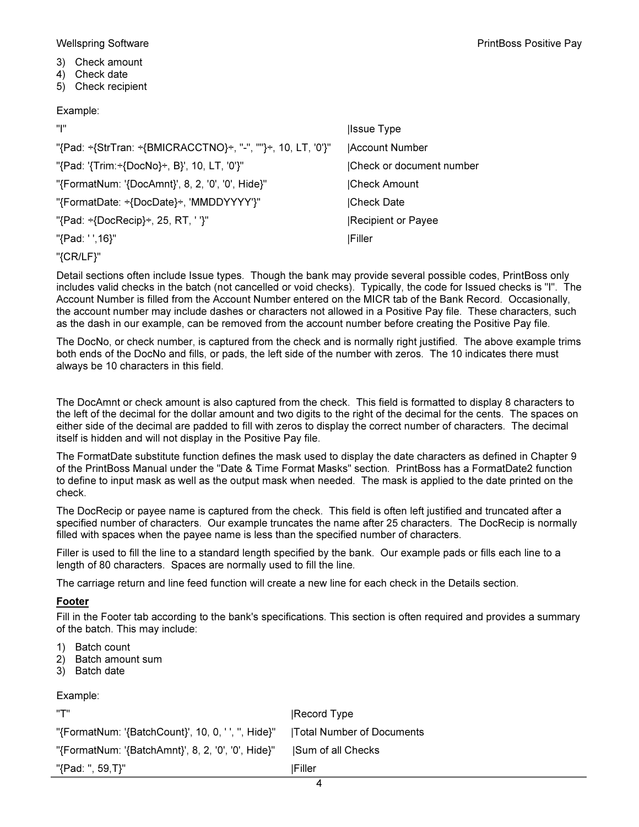- 3) Check amount
- 4) Check date
- 5) Check recipient

#### Example:

| ייויי                                                       | <b>Ilssue Type</b>       |
|-------------------------------------------------------------|--------------------------|
| "{Pad: ÷{StrTran: ÷{BMICRACCTNO}÷, "-", ""}÷, 10, LT, '0'}" | Account Number           |
| "{Pad: '{Trim:÷{DocNo}÷, B}', 10, LT, '0'}"                 | Check or document number |
| "{FormatNum: '{DocAmnt}', 8, 2, '0', '0', Hide}"            | Check Amount             |
| "{FormatDate: ÷{DocDate}÷, 'MMDDYYYY'}"                     | Check Date               |
| "{Pad: ÷{DocRecip}÷, 25, RT, ' '}"                          | Recipient or Payee       |
| "{Pad: ' ',16}"                                             | <b>Filler</b>            |
|                                                             |                          |

"{CR/LF}"

Detail sections often include Issue types. Though the bank may provide several possible codes, PrintBoss only includes valid checks in the batch (not cancelled or void checks). Typically, the code for Issued checks is "I". The Account Number is filled from the Account Number entered on the MICR tab of the Bank Record. Occasionally, the account number may include dashes or characters not allowed in a Positive Pay file. These characters, such as the dash in our example, can be removed from the account number before creating the Positive Pay file.

The DocNo, or check number, is captured from the check and is normally right justified. The above example trims both ends of the DocNo and fills, or pads, the left side of the number with zeros. The 10 indicates there must always be 10 characters in this field.

The DocAmnt or check amount is also captured from the check. This field is formatted to display 8 characters to the left of the decimal for the dollar amount and two digits to the right of the decimal for the cents. The spaces on either side of the decimal are padded to fill with zeros to display the correct number of characters. The decimal itself is hidden and will not display in the Positive Pay file.

The FormatDate substitute function defines the mask used to display the date characters as defined in Chapter 9 of the PrintBoss Manual under the "Date & Time Format Masks" section. PrintBoss has a FormatDate2 function to define to input mask as well as the output mask when needed. The mask is applied to the date printed on the check.

The DocRecip or payee name is captured from the check. This field is often left justified and truncated after a specified number of characters. Our example truncates the name after 25 characters. The DocRecip is normally filled with spaces when the payee name is less than the specified number of characters.

Filler is used to fill the line to a standard length specified by the bank. Our example pads or fills each line to a length of 80 characters. Spaces are normally used to fill the line.

The carriage return and line feed function will create a new line for each check in the Details section.

#### Footer

Fill in the Footer tab according to the bank's specifications. This section is often required and provides a summary of the batch. This may include:

- 1) Batch count
- 2) Batch amount sum
- 3) Batch date

Example:

| יידיי                                                                          | <b>Record Type</b> |
|--------------------------------------------------------------------------------|--------------------|
| "{FormatNum: '{BatchCount}', 10, 0, ' ', ", Hide}"   Total Number of Documents |                    |
| "{FormatNum: '{BatchAmnt}', 8, 2, '0', '0', Hide}"                             | Sum of all Checks  |
| "{Pad: ", 59,T}"                                                               | <b>IFiller</b>     |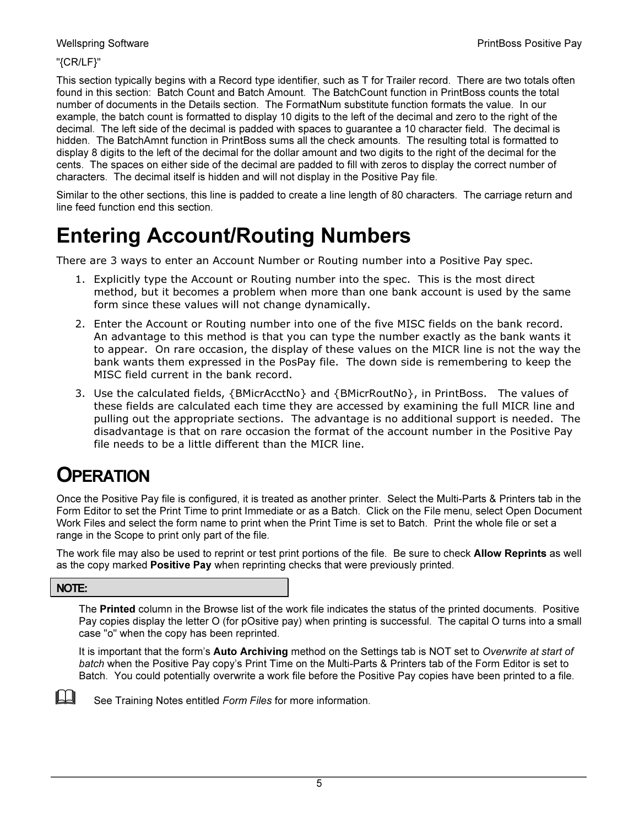#### "{CR/LF}"

This section typically begins with a Record type identifier, such as T for Trailer record. There are two totals often found in this section: Batch Count and Batch Amount. The BatchCount function in PrintBoss counts the total number of documents in the Details section. The FormatNum substitute function formats the value. In our example, the batch count is formatted to display 10 digits to the left of the decimal and zero to the right of the decimal. The left side of the decimal is padded with spaces to guarantee a 10 character field. The decimal is hidden. The BatchAmnt function in PrintBoss sums all the check amounts. The resulting total is formatted to display 8 digits to the left of the decimal for the dollar amount and two digits to the right of the decimal for the cents. The spaces on either side of the decimal are padded to fill with zeros to display the correct number of characters. The decimal itself is hidden and will not display in the Positive Pay file.

Similar to the other sections, this line is padded to create a line length of 80 characters. The carriage return and line feed function end this section.

# Entering Account/Routing Numbers

There are 3 ways to enter an Account Number or Routing number into a Positive Pay spec.

- 1. Explicitly type the Account or Routing number into the spec. This is the most direct method, but it becomes a problem when more than one bank account is used by the same form since these values will not change dynamically.
- 2. Enter the Account or Routing number into one of the five MISC fields on the bank record. An advantage to this method is that you can type the number exactly as the bank wants it to appear. On rare occasion, the display of these values on the MICR line is not the way the bank wants them expressed in the PosPay file. The down side is remembering to keep the MISC field current in the bank record.
- 3. Use the calculated fields, {BMicrAcctNo} and {BMicrRoutNo}, in PrintBoss. The values of these fields are calculated each time they are accessed by examining the full MICR line and pulling out the appropriate sections. The advantage is no additional support is needed. The disadvantage is that on rare occasion the format of the account number in the Positive Pay file needs to be a little different than the MICR line.

## **OPERATION**

Once the Positive Pay file is configured, it is treated as another printer. Select the Multi-Parts & Printers tab in the Form Editor to set the Print Time to print Immediate or as a Batch. Click on the File menu, select Open Document Work Files and select the form name to print when the Print Time is set to Batch. Print the whole file or set a range in the Scope to print only part of the file.

The work file may also be used to reprint or test print portions of the file. Be sure to check **Allow Reprints** as well as the copy marked **Positive Pay** when reprinting checks that were previously printed.

## NOTE:

The Printed column in the Browse list of the work file indicates the status of the printed documents. Positive Pay copies display the letter O (for pOsitive pay) when printing is successful. The capital O turns into a small case "o" when the copy has been reprinted.

It is important that the form's Auto Archiving method on the Settings tab is NOT set to Overwrite at start of batch when the Positive Pay copy's Print Time on the Multi-Parts & Printers tab of the Form Editor is set to Batch. You could potentially overwrite a work file before the Positive Pay copies have been printed to a file.



 $\mathbb{R}$  See Training Notes entitled Form Files for more information.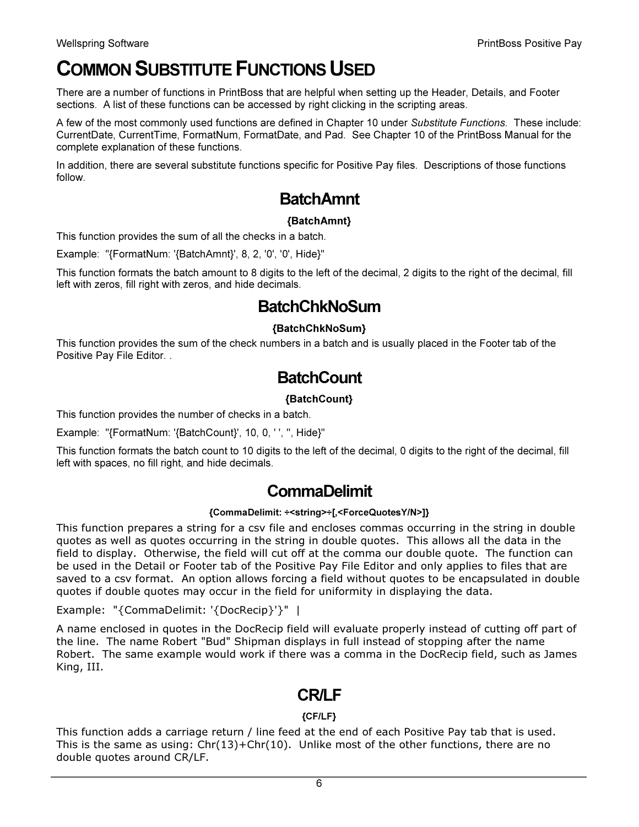# COMMON SUBSTITUTE FUNCTIONS USED

There are a number of functions in PrintBoss that are helpful when setting up the Header, Details, and Footer sections. A list of these functions can be accessed by right clicking in the scripting areas.

A few of the most commonly used functions are defined in Chapter 10 under Substitute Functions. These include: CurrentDate, CurrentTime, FormatNum, FormatDate, and Pad. See Chapter 10 of the PrintBoss Manual for the complete explanation of these functions.

In addition, there are several substitute functions specific for Positive Pay files. Descriptions of those functions follow.

## BatchAmnt

## {BatchAmnt}

This function provides the sum of all the checks in a batch.

Example: "{FormatNum: '{BatchAmnt}', 8, 2, '0', '0', Hide}"

This function formats the batch amount to 8 digits to the left of the decimal, 2 digits to the right of the decimal, fill left with zeros, fill right with zeros, and hide decimals.

## **BatchChkNoSum**

## {BatchChkNoSum}

This function provides the sum of the check numbers in a batch and is usually placed in the Footer tab of the Positive Pay File Editor. .

## **BatchCount**

## {BatchCount}

This function provides the number of checks in a batch.

Example: "{FormatNum: '{BatchCount}', 10, 0, ' ', '', Hide}"

This function formats the batch count to 10 digits to the left of the decimal, 0 digits to the right of the decimal, fill left with spaces, no fill right, and hide decimals.

## CommaDelimit

## {CommaDelimit: ÷<string>÷[,<ForceQuotesY/N>]}

This function prepares a string for a csv file and encloses commas occurring in the string in double quotes as well as quotes occurring in the string in double quotes. This allows all the data in the field to display. Otherwise, the field will cut off at the comma our double quote. The function can be used in the Detail or Footer tab of the Positive Pay File Editor and only applies to files that are saved to a csv format. An option allows forcing a field without quotes to be encapsulated in double quotes if double quotes may occur in the field for uniformity in displaying the data.

Example: "{CommaDelimit: '{DocRecip}'}" |

A name enclosed in quotes in the DocRecip field will evaluate properly instead of cutting off part of the line. The name Robert "Bud" Shipman displays in full instead of stopping after the name Robert. The same example would work if there was a comma in the DocRecip field, such as James King, III.

## CR/LF

## {CF/LF}

This function adds a carriage return / line feed at the end of each Positive Pay tab that is used. This is the same as using:  $Chr(13) + Chr(10)$ . Unlike most of the other functions, there are no double quotes around CR/LF.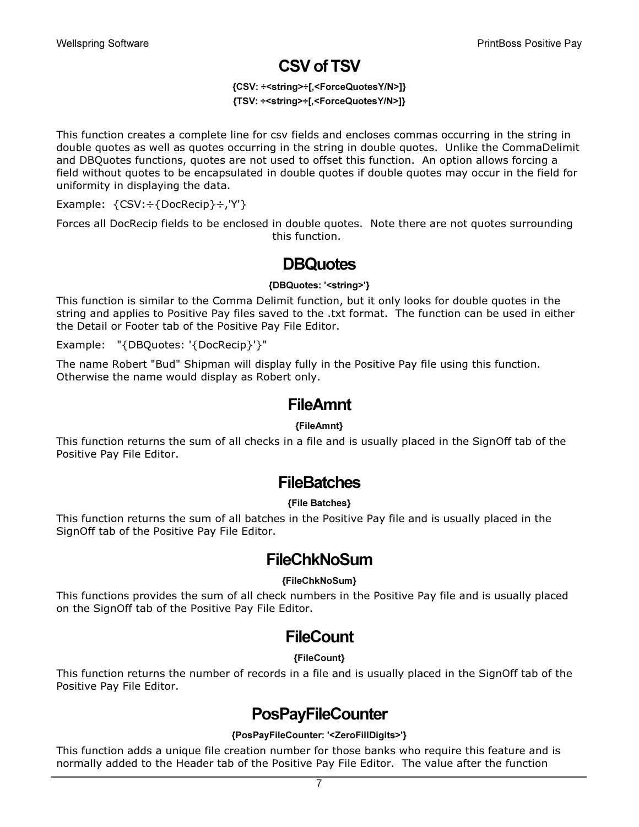## CSV of TSV

#### {CSV: ÷<string>÷[,<ForceQuotesY/N>]} {TSV: ÷<string>÷[,<ForceQuotesY/N>]}

This function creates a complete line for csv fields and encloses commas occurring in the string in double quotes as well as quotes occurring in the string in double quotes. Unlike the CommaDelimit and DBQuotes functions, quotes are not used to offset this function. An option allows forcing a field without quotes to be encapsulated in double quotes if double quotes may occur in the field for uniformity in displaying the data.

Example: {CSV:÷{DocRecip}÷,'Y'}

Forces all DocRecip fields to be enclosed in double quotes. Note there are not quotes surrounding this function.

## **DBQuotes**

#### {DBQuotes: '<string>'}

This function is similar to the Comma Delimit function, but it only looks for double quotes in the string and applies to Positive Pay files saved to the .txt format. The function can be used in either the Detail or Footer tab of the Positive Pay File Editor.

Example: "{DBQuotes: '{DocRecip}'}"

The name Robert "Bud" Shipman will display fully in the Positive Pay file using this function. Otherwise the name would display as Robert only.

## **FileAmnt**

#### {FileAmnt}

This function returns the sum of all checks in a file and is usually placed in the SignOff tab of the Positive Pay File Editor.

## **FileBatches**

## {File Batches}

This function returns the sum of all batches in the Positive Pay file and is usually placed in the SignOff tab of the Positive Pay File Editor.

## **FileChkNoSum**

#### {FileChkNoSum}

This functions provides the sum of all check numbers in the Positive Pay file and is usually placed on the SignOff tab of the Positive Pay File Editor.

## **FileCount**

## {FileCount}

This function returns the number of records in a file and is usually placed in the SignOff tab of the Positive Pay File Editor.

## **PosPayFileCounter**

## {PosPayFileCounter: '<ZeroFillDigits>'}

This function adds a unique file creation number for those banks who require this feature and is normally added to the Header tab of the Positive Pay File Editor. The value after the function